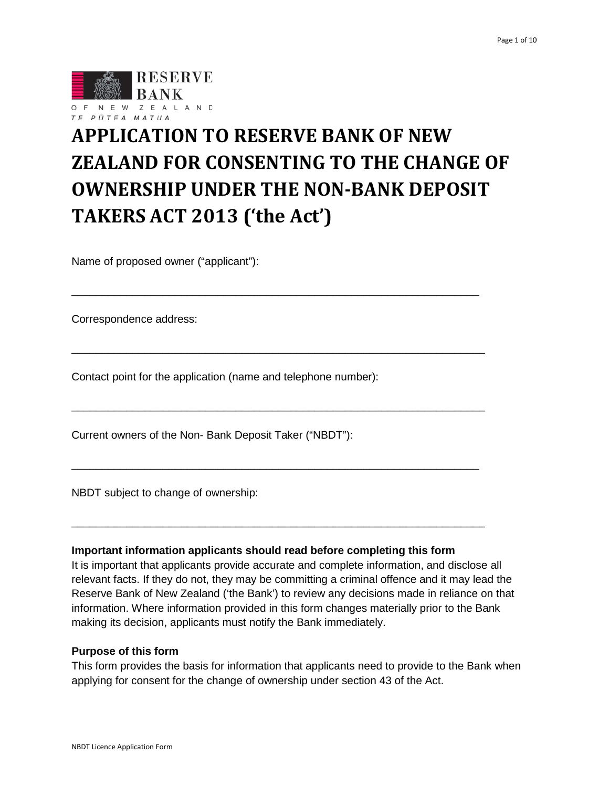

# **APPLICATION TO RESERVE BANK OF NEW ZEALAND FOR CONSENTING TO THE CHANGE OF OWNERSHIP UNDER THE NON-BANK DEPOSIT TAKERS ACT 2013 ('the Act')**

\_\_\_\_\_\_\_\_\_\_\_\_\_\_\_\_\_\_\_\_\_\_\_\_\_\_\_\_\_\_\_\_\_\_\_\_\_\_\_\_\_\_\_\_\_\_\_\_\_\_\_\_\_\_\_\_\_\_\_\_\_\_\_\_\_\_\_

\_\_\_\_\_\_\_\_\_\_\_\_\_\_\_\_\_\_\_\_\_\_\_\_\_\_\_\_\_\_\_\_\_\_\_\_\_\_\_\_\_\_\_\_\_\_\_\_\_\_\_\_\_\_\_\_\_\_\_\_\_\_\_\_\_\_\_\_

\_\_\_\_\_\_\_\_\_\_\_\_\_\_\_\_\_\_\_\_\_\_\_\_\_\_\_\_\_\_\_\_\_\_\_\_\_\_\_\_\_\_\_\_\_\_\_\_\_\_\_\_\_\_\_\_\_\_\_\_\_\_\_\_\_\_\_\_

\_\_\_\_\_\_\_\_\_\_\_\_\_\_\_\_\_\_\_\_\_\_\_\_\_\_\_\_\_\_\_\_\_\_\_\_\_\_\_\_\_\_\_\_\_\_\_\_\_\_\_\_\_\_\_\_\_\_\_\_\_\_\_\_\_\_\_

\_\_\_\_\_\_\_\_\_\_\_\_\_\_\_\_\_\_\_\_\_\_\_\_\_\_\_\_\_\_\_\_\_\_\_\_\_\_\_\_\_\_\_\_\_\_\_\_\_\_\_\_\_\_\_\_\_\_\_\_\_\_\_\_\_\_\_\_

Name of proposed owner ("applicant"):

Correspondence address:

Contact point for the application (name and telephone number):

Current owners of the Non- Bank Deposit Taker ("NBDT"):

NBDT subject to change of ownership:

#### **Important information applicants should read before completing this form**

It is important that applicants provide accurate and complete information, and disclose all relevant facts. If they do not, they may be committing a criminal offence and it may lead the Reserve Bank of New Zealand ('the Bank') to review any decisions made in reliance on that information. Where information provided in this form changes materially prior to the Bank making its decision, applicants must notify the Bank immediately.

#### **Purpose of this form**

This form provides the basis for information that applicants need to provide to the Bank when applying for consent for the change of ownership under section 43 of the Act.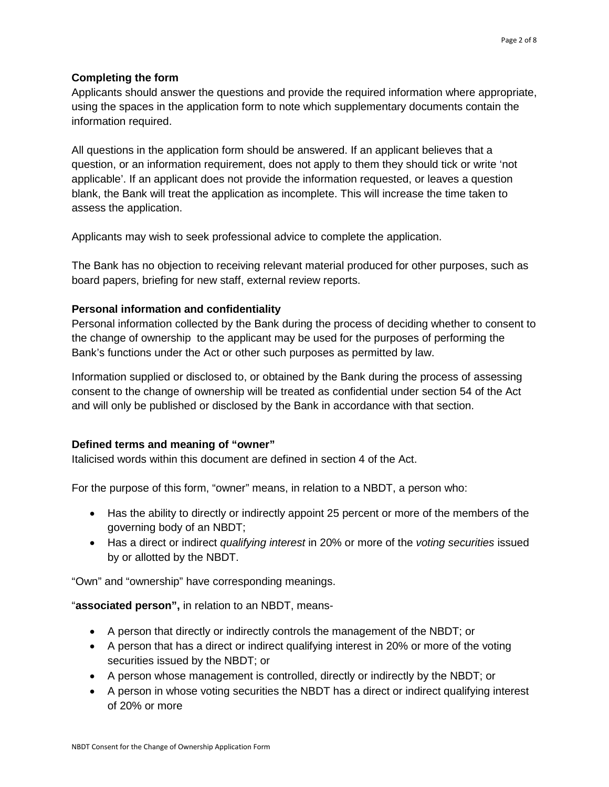#### **Completing the form**

Applicants should answer the questions and provide the required information where appropriate, using the spaces in the application form to note which supplementary documents contain the information required.

All questions in the application form should be answered. If an applicant believes that a question, or an information requirement, does not apply to them they should tick or write 'not applicable'. If an applicant does not provide the information requested, or leaves a question blank, the Bank will treat the application as incomplete. This will increase the time taken to assess the application.

Applicants may wish to seek professional advice to complete the application.

The Bank has no objection to receiving relevant material produced for other purposes, such as board papers, briefing for new staff, external review reports.

### **Personal information and confidentiality**

Personal information collected by the Bank during the process of deciding whether to consent to the change of ownership to the applicant may be used for the purposes of performing the Bank's functions under the Act or other such purposes as permitted by law.

Information supplied or disclosed to, or obtained by the Bank during the process of assessing consent to the change of ownership will be treated as confidential under section 54 of the Act and will only be published or disclosed by the Bank in accordance with that section.

## **Defined terms and meaning of "owner"**

Italicised words within this document are defined in section 4 of the Act.

For the purpose of this form, "owner" means, in relation to a NBDT, a person who:

- Has the ability to directly or indirectly appoint 25 percent or more of the members of the governing body of an NBDT;
- Has a direct or indirect *qualifying interest* in 20% or more of the *voting securities* issued by or allotted by the NBDT.

"Own" and "ownership" have corresponding meanings.

"**associated person",** in relation to an NBDT, means-

- A person that directly or indirectly controls the management of the NBDT; or
- A person that has a direct or indirect qualifying interest in 20% or more of the voting securities issued by the NBDT; or
- A person whose management is controlled, directly or indirectly by the NBDT; or
- A person in whose voting securities the NBDT has a direct or indirect qualifying interest of 20% or more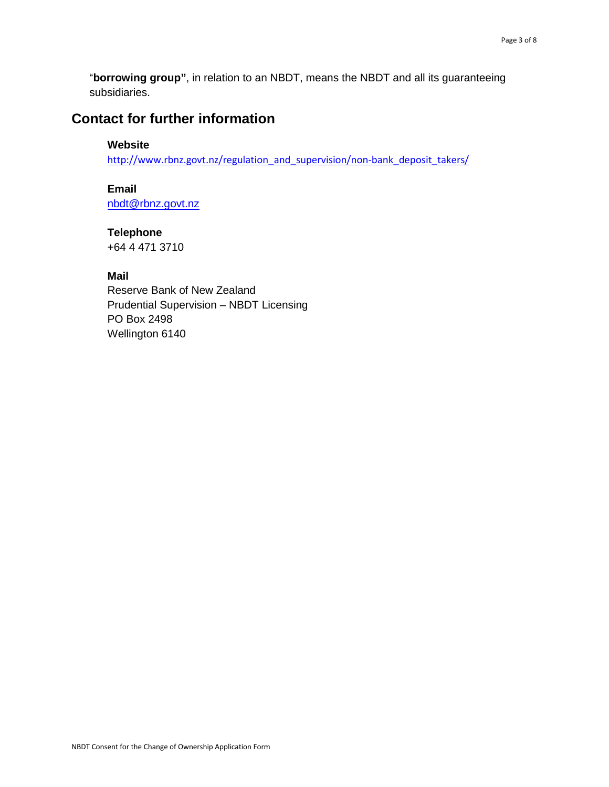"**borrowing group"**, in relation to an NBDT, means the NBDT and all its guaranteeing subsidiaries.

# **Contact for further information**

#### **Website**

[http://www.rbnz.govt.nz/regulation\\_and\\_supervision/non-bank\\_deposit\\_takers/](http://www.rbnz.govt.nz/regulation_and_supervision/non-bank_deposit_takers/)

**Email**

[nbdt@rbnz.govt.nz](mailto:nbdt@rbnz.govt.nz)

### **Telephone** +64 4 471 3710

**Mail**

Reserve Bank of New Zealand Prudential Supervision – NBDT Licensing PO Box 2498 Wellington 6140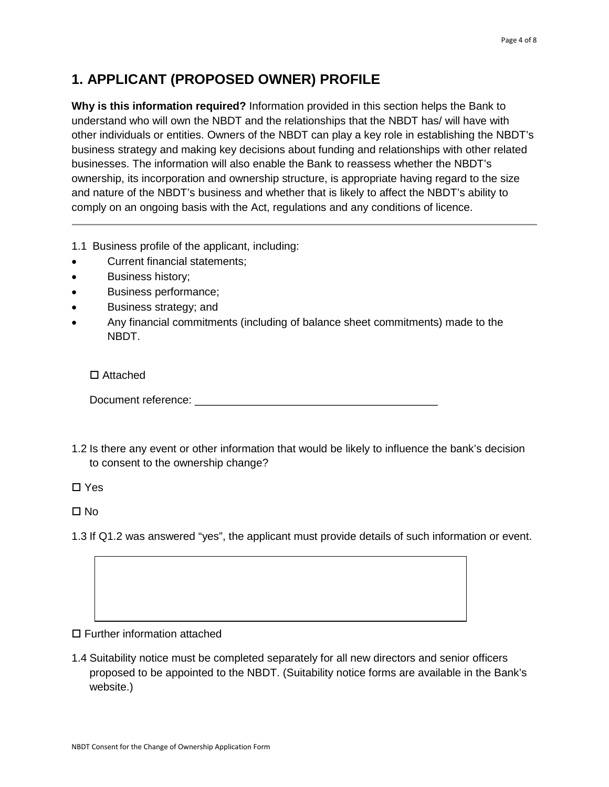## **1. APPLICANT (PROPOSED OWNER) PROFILE**

**Why is this information required?** Information provided in this section helps the Bank to understand who will own the NBDT and the relationships that the NBDT has/ will have with other individuals or entities. Owners of the NBDT can play a key role in establishing the NBDT's business strategy and making key decisions about funding and relationships with other related businesses. The information will also enable the Bank to reassess whether the NBDT's ownership, its incorporation and ownership structure, is appropriate having regard to the size and nature of the NBDT's business and whether that is likely to affect the NBDT's ability to comply on an ongoing basis with the Act, regulations and any conditions of licence.

- 1.1 Business profile of the applicant, including:
- Current financial statements;
- Business history;
- Business performance;
- Business strategy; and
- Any financial commitments (including of balance sheet commitments) made to the NBDT.

□ Attached

Document reference:  $\Box$ 

1.2 Is there any event or other information that would be likely to influence the bank's decision to consent to the ownership change?

□ Yes

 $\Box$  No

1.3 If Q1.2 was answered "yes", the applicant must provide details of such information or event.

□ Further information attached

1.4 Suitability notice must be completed separately for all new directors and senior officers proposed to be appointed to the NBDT. (Suitability notice forms are available in the Bank's website.)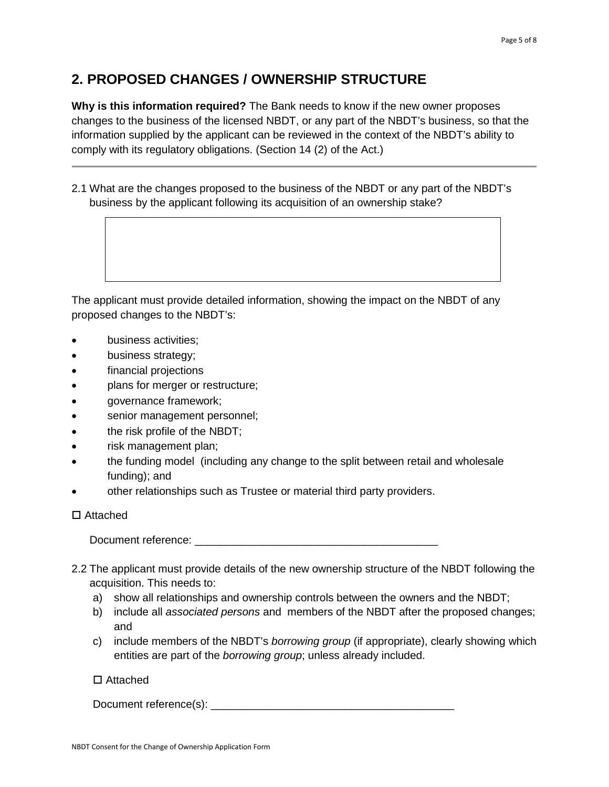## **2. PROPOSED CHANGES / OWNERSHIP STRUCTURE**

**Why is this information required?** The Bank needs to know if the new owner proposes changes to the business of the licensed NBDT, or any part of the NBDT's business, so that the information supplied by the applicant can be reviewed in the context of the NBDT's ability to comply with its regulatory obligations. (Section 14 (2) of the Act.)

2.1 What are the changes proposed to the business of the NBDT or any part of the NBDT's business by the applicant following its acquisition of an ownership stake?

The applicant must provide detailed information, showing the impact on the NBDT of any proposed changes to the NBDT's:

- business activities;
- business strategy;
- financial projections
- plans for merger or restructure;
- governance framework;
- senior management personnel;
- the risk profile of the NBDT;
- risk management plan;
- the funding model (including any change to the split between retail and wholesale funding); and
- other relationships such as Trustee or material third party providers.

#### □ Attached

Document reference: \_\_\_\_\_\_\_\_\_\_\_\_\_\_\_\_\_\_\_\_\_\_\_\_\_\_\_\_\_\_\_\_\_\_\_\_\_\_\_\_

- 2.2 The applicant must provide details of the new ownership structure of the NBDT following the acquisition. This needs to:
	- a) show all relationships and ownership controls between the owners and the NBDT;
	- b) include all *associated persons* and members of the NBDT after the proposed changes; and
	- c) include members of the NBDT's *borrowing group* (if appropriate), clearly showing which entities are part of the *borrowing group*; unless already included.

#### Attached

Document reference(s): \_\_\_\_\_\_\_\_\_\_\_\_\_\_\_\_\_\_\_\_\_\_\_\_\_\_\_\_\_\_\_\_\_\_\_\_\_\_\_\_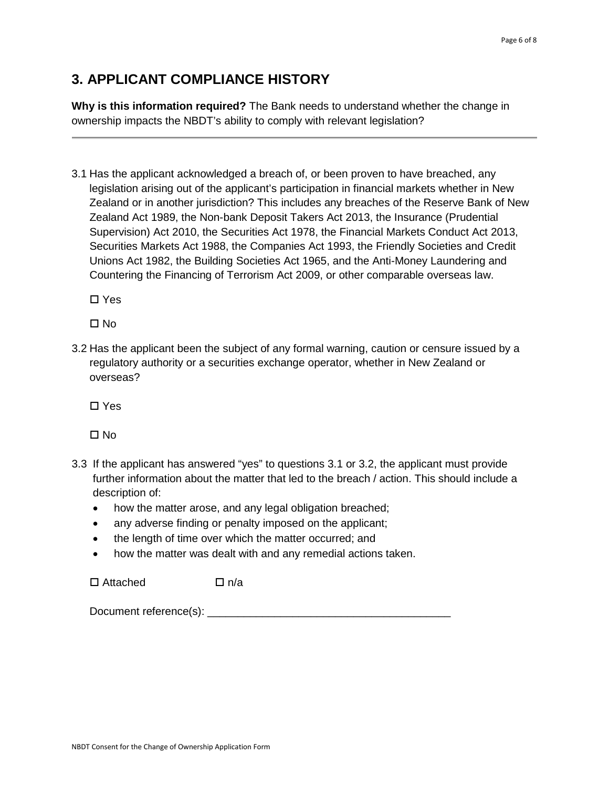## **3. APPLICANT COMPLIANCE HISTORY**

**Why is this information required?** The Bank needs to understand whether the change in ownership impacts the NBDT's ability to comply with relevant legislation?

3.1 Has the applicant acknowledged a breach of, or been proven to have breached, any legislation arising out of the applicant's participation in financial markets whether in New Zealand or in another jurisdiction? This includes any breaches of the Reserve Bank of New Zealand Act 1989, the Non-bank Deposit Takers Act 2013, the Insurance (Prudential Supervision) Act 2010, the Securities Act 1978, the Financial Markets Conduct Act 2013, Securities Markets Act 1988, the Companies Act 1993, the Friendly Societies and Credit Unions Act 1982, the Building Societies Act 1965, and the Anti-Money Laundering and Countering the Financing of Terrorism Act 2009, or other comparable overseas law.

□ Yes

□ No

3.2 Has the applicant been the subject of any formal warning, caution or censure issued by a regulatory authority or a securities exchange operator, whether in New Zealand or overseas?

□ Yes

□ No

- 3.3 If the applicant has answered "yes" to questions 3.1 or 3.2, the applicant must provide further information about the matter that led to the breach / action. This should include a description of:
	- how the matter arose, and any legal obligation breached;
	- any adverse finding or penalty imposed on the applicant;
	- the length of time over which the matter occurred; and
	- how the matter was dealt with and any remedial actions taken.

 $\Box$  Attached  $\Box$  n/a

Document reference(s): \_\_\_\_\_\_\_\_\_\_\_\_\_\_\_\_\_\_\_\_\_\_\_\_\_\_\_\_\_\_\_\_\_\_\_\_\_\_\_\_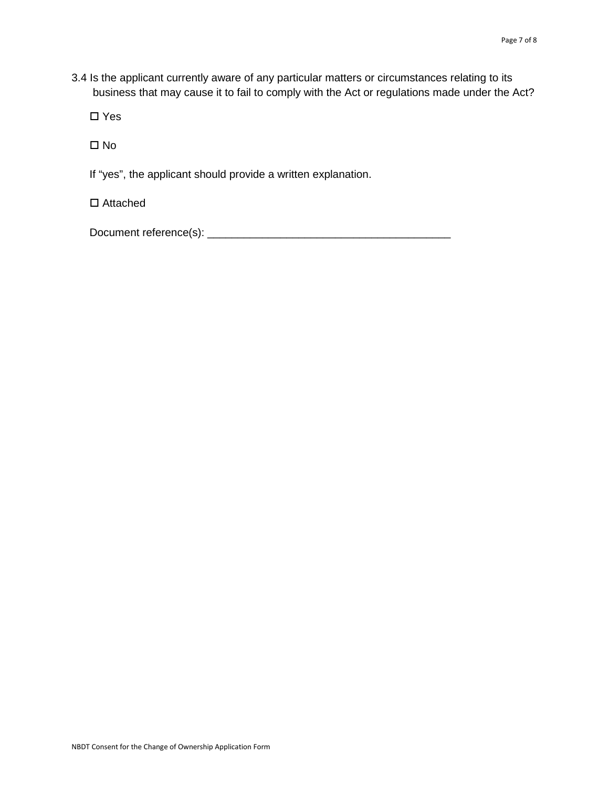3.4 Is the applicant currently aware of any particular matters or circumstances relating to its business that may cause it to fail to comply with the Act or regulations made under the Act?

□ Yes

 $\Box$  No

If "yes", the applicant should provide a written explanation.

□ Attached

Document reference(s): \_\_\_\_\_\_\_\_\_\_\_\_\_\_\_\_\_\_\_\_\_\_\_\_\_\_\_\_\_\_\_\_\_\_\_\_\_\_\_\_